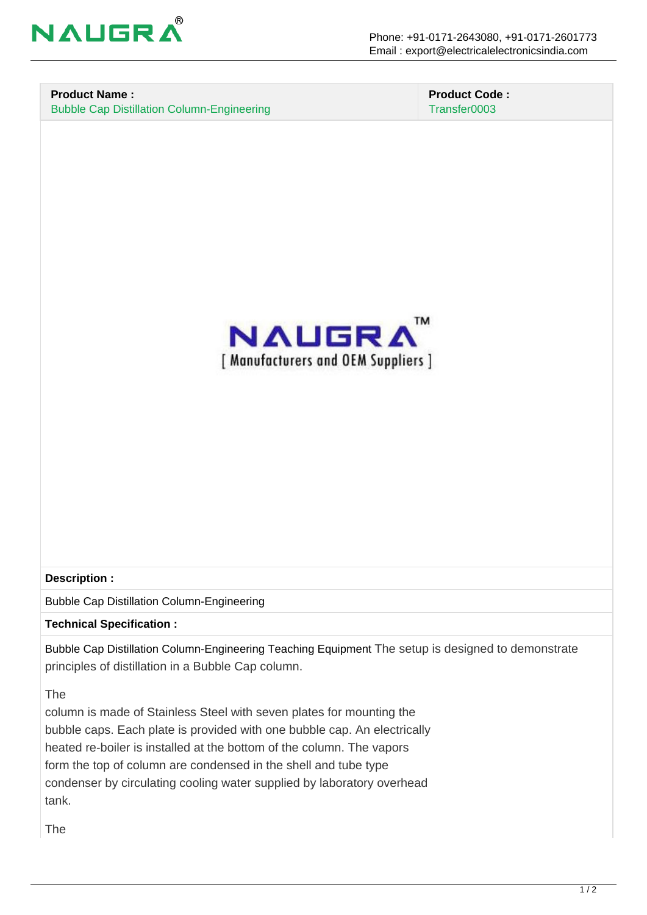

## **Product Name :** Bubble Cap Distillation Column-Engineering

 **Product Code :** Transfer0003



## **Description :**

Bubble Cap Distillation Column-Engineering

**Technical Specification :**

Bubble Cap Distillation Column-Engineering Teaching Equipment The setup is designed to demonstrate principles of distillation in a Bubble Cap column.

The

column is made of Stainless Steel with seven plates for mounting the bubble caps. Each plate is provided with one bubble cap. An electrically heated re-boiler is installed at the bottom of the column. The vapors form the top of column are condensed in the shell and tube type condenser by circulating cooling water supplied by laboratory overhead tank.

The